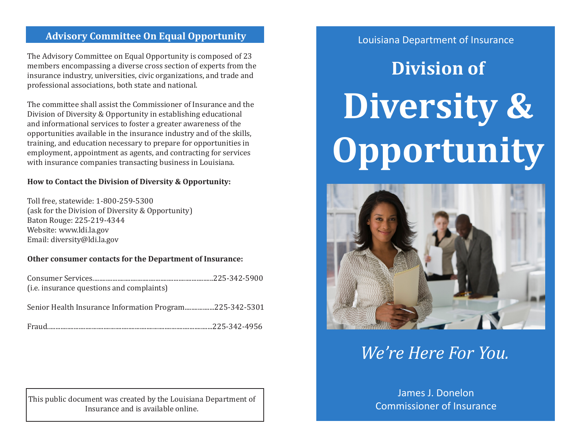## Louisiana Department of Insurance **Advisory Committee On Equal Opportunity**

The Advisory Committee on Equal Opportunity is composed of 23 members encompassing a diverse cross section of experts from the insurance industry, universities, civic organizations, and trade and professional associations, both state and national.

The committee shall assist the Commissioner of Insurance and the Division of Diversity & Opportunity in establishing educational and informational services to foster a greater awareness of the opportunities available in the insurance industry and of the skills, training, and education necessary to prepare for opportunities in employment, appointment as agents, and contracting for services with insurance companies transacting business in Louisiana.

#### **How to Contact the Division of Diversity & Opportunity:**

Toll free, statewide: 1-800-259-5300 (ask for the Division of Diversity & Opportunity) Baton Rouge: 225-219-4344 Website: www.ldi.la.gov Email: diversity@ldi.la.gov

#### **Other consumer contacts for the Department of Insurance:**

| (i.e. insurance questions and complaints)               |  |
|---------------------------------------------------------|--|
| Senior Health Insurance Information Program225-342-5301 |  |
|                                                         |  |

This public document was created by the Louisiana Department of  $\parallel$  and  $\parallel$  commissioner of Insurance. Insurance and is available online.

# **Division of Diversity & Opportunity**



# *We're Here For You.*

# James J. Donelon